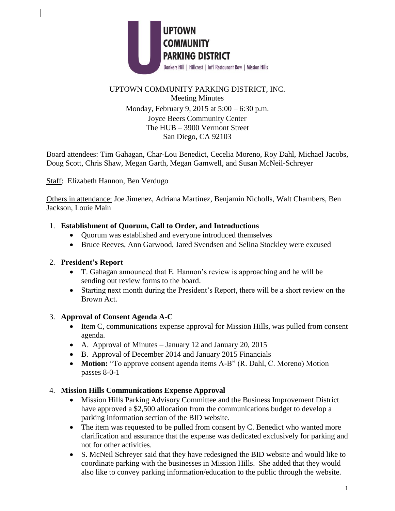

# UPTOWN COMMUNITY PARKING DISTRICT, INC. Meeting Minutes Monday, February 9, 2015 at 5:00 – 6:30 p.m. Joyce Beers Community Center The HUB – 3900 Vermont Street San Diego, CA 92103

Board attendees: Tim Gahagan, Char-Lou Benedict, Cecelia Moreno, Roy Dahl, Michael Jacobs, Doug Scott, Chris Shaw, Megan Garth, Megan Gamwell, and Susan McNeil-Schreyer

Staff: Elizabeth Hannon, Ben Verdugo

Others in attendance: Joe Jimenez, Adriana Martinez, Benjamin Nicholls, Walt Chambers, Ben Jackson, Louie Main

## 1. **Establishment of Quorum, Call to Order, and Introductions**

- Quorum was established and everyone introduced themselves
- Bruce Reeves, Ann Garwood, Jared Svendsen and Selina Stockley were excused

## 2. **President's Report**

- T. Gahagan announced that E. Hannon's review is approaching and he will be sending out review forms to the board.
- Starting next month during the President's Report, there will be a short review on the Brown Act.

## 3. **Approval of Consent Agenda A-C**

- Item C, communications expense approval for Mission Hills, was pulled from consent agenda.
- A. Approval of Minutes January 12 and January 20, 2015
- B. Approval of December 2014 and January 2015 Financials
- **Motion:** "To approve consent agenda items A-B" (R. Dahl, C. Moreno) Motion passes 8-0-1
- 4. **Mission Hills Communications Expense Approval**
	- Mission Hills Parking Advisory Committee and the Business Improvement District have approved a \$2,500 allocation from the communications budget to develop a parking information section of the BID website.
	- The item was requested to be pulled from consent by C. Benedict who wanted more clarification and assurance that the expense was dedicated exclusively for parking and not for other activities.
	- S. McNeil Schreyer said that they have redesigned the BID website and would like to coordinate parking with the businesses in Mission Hills. She added that they would also like to convey parking information/education to the public through the website.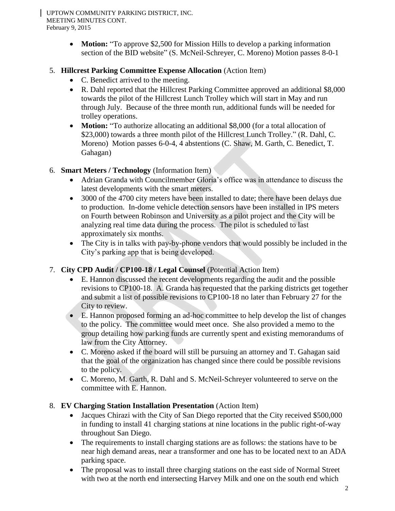UPTOWN COMMUNITY PARKING DISTRICT, INC. MEETING MINUTES CONT. February 9, 2015

> • **Motion:** "To approve \$2,500 for Mission Hills to develop a parking information section of the BID website" (S. McNeil-Schreyer, C. Moreno) Motion passes 8-0-1

## 5. **Hillcrest Parking Committee Expense Allocation** (Action Item)

- C. Benedict arrived to the meeting.
- R. Dahl reported that the Hillcrest Parking Committee approved an additional \$8,000 towards the pilot of the Hillcrest Lunch Trolley which will start in May and run through July. Because of the three month run, additional funds will be needed for trolley operations.
- **Motion:** "To authorize allocating an additional \$8,000 (for a total allocation of \$23,000) towards a three month pilot of the Hillcrest Lunch Trolley." (R. Dahl, C. Moreno) Motion passes 6-0-4, 4 abstentions (C. Shaw, M. Garth, C. Benedict, T. Gahagan)

## 6. **Smart Meters / Technology** (Information Item)

- Adrian Granda with Councilmember Gloria's office was in attendance to discuss the latest developments with the smart meters.
- 3000 of the 4700 city meters have been installed to date; there have been delays due to production. In-dome vehicle detection sensors have been installed in IPS meters on Fourth between Robinson and University as a pilot project and the City will be analyzing real time data during the process. The pilot is scheduled to last approximately six months.
- The City is in talks with pay-by-phone vendors that would possibly be included in the City's parking app that is being developed.

# 7. **City CPD Audit / CP100-18 / Legal Counsel** (Potential Action Item)

- E. Hannon discussed the recent developments regarding the audit and the possible revisions to CP100-18. A. Granda has requested that the parking districts get together and submit a list of possible revisions to CP100-18 no later than February 27 for the City to review.
- E. Hannon proposed forming an ad-hoc committee to help develop the list of changes to the policy. The committee would meet once. She also provided a memo to the group detailing how parking funds are currently spent and existing memorandums of law from the City Attorney.
- C. Moreno asked if the board will still be pursuing an attorney and T. Gahagan said that the goal of the organization has changed since there could be possible revisions to the policy.
- C. Moreno, M. Garth, R. Dahl and S. McNeil-Schreyer volunteered to serve on the committee with E. Hannon.

# 8. **EV Charging Station Installation Presentation** (Action Item)

- Jacques Chirazi with the City of San Diego reported that the City received \$500,000 in funding to install 41 charging stations at nine locations in the public right-of-way throughout San Diego.
- The requirements to install charging stations are as follows: the stations have to be near high demand areas, near a transformer and one has to be located next to an ADA parking space.
- The proposal was to install three charging stations on the east side of Normal Street with two at the north end intersecting Harvey Milk and one on the south end which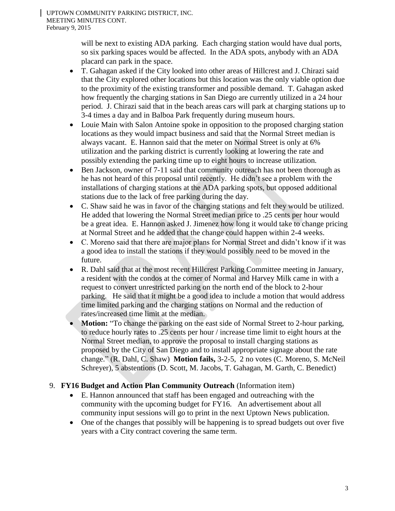will be next to existing ADA parking. Each charging station would have dual ports, so six parking spaces would be affected. In the ADA spots, anybody with an ADA placard can park in the space.

- T. Gahagan asked if the City looked into other areas of Hillcrest and J. Chirazi said that the City explored other locations but this location was the only viable option due to the proximity of the existing transformer and possible demand. T. Gahagan asked how frequently the charging stations in San Diego are currently utilized in a 24 hour period. J. Chirazi said that in the beach areas cars will park at charging stations up to 3-4 times a day and in Balboa Park frequently during museum hours.
- Louie Main with Salon Antoine spoke in opposition to the proposed charging station locations as they would impact business and said that the Normal Street median is always vacant. E. Hannon said that the meter on Normal Street is only at 6% utilization and the parking district is currently looking at lowering the rate and possibly extending the parking time up to eight hours to increase utilization.
- Ben Jackson, owner of 7-11 said that community outreach has not been thorough as he has not heard of this proposal until recently. He didn't see a problem with the installations of charging stations at the ADA parking spots, but opposed additional stations due to the lack of free parking during the day.
- C. Shaw said he was in favor of the charging stations and felt they would be utilized. He added that lowering the Normal Street median price to .25 cents per hour would be a great idea. E. Hannon asked J. Jimenez how long it would take to change pricing at Normal Street and he added that the change could happen within 2-4 weeks.
- C. Moreno said that there are major plans for Normal Street and didn't know if it was a good idea to install the stations if they would possibly need to be moved in the future.
- R. Dahl said that at the most recent Hillcrest Parking Committee meeting in January, a resident with the condos at the corner of Normal and Harvey Milk came in with a request to convert unrestricted parking on the north end of the block to 2-hour parking. He said that it might be a good idea to include a motion that would address time limited parking and the charging stations on Normal and the reduction of rates/increased time limit at the median.
- **Motion:** "To change the parking on the east side of Normal Street to 2-hour parking, to reduce hourly rates to .25 cents per hour / increase time limit to eight hours at the Normal Street median, to approve the proposal to install charging stations as proposed by the City of San Diego and to install appropriate signage about the rate change." (R. Dahl, C. Shaw) **Motion fails,** 3-2-5, 2 no votes (C. Moreno, S. McNeil Schreyer), 5 abstentions (D. Scott, M. Jacobs, T. Gahagan, M. Garth, C. Benedict)

# 9. **FY16 Budget and Action Plan Community Outreach** (Information item)

- E. Hannon announced that staff has been engaged and outreaching with the community with the upcoming budget for FY16. An advertisement about all community input sessions will go to print in the next Uptown News publication.
- One of the changes that possibly will be happening is to spread budgets out over five years with a City contract covering the same term.